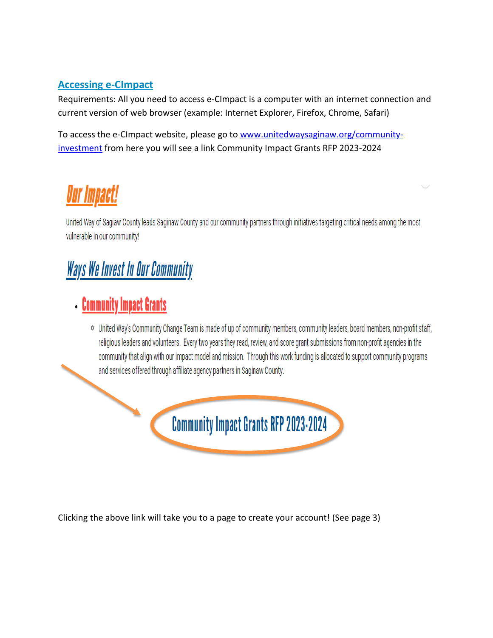#### **Accessing e-CImpact**

Requirements: All you need to access e-CImpact is a computer with an internet connection and current version of web browser (example: Internet Explorer, Firefox, Chrome, Safari)

To access the e-CImpact website, please go to [www.unitedwaysaginaw.org/community](http://www.unitedwaysaginaw.org/community-investment)[investment](http://www.unitedwaysaginaw.org/community-investment) from here you will see a link Community Impact Grants RFP 2023-2024

# Our Impact!

United Way of Sagiaw County leads Saginaw County and our community partners through initiatives targeting critical needs among the most vulnerable in our community!

## **Ways We Invest In Our Community**

### **Community Impact Grants**

o United Way's Community Change Team is made of up of community members, community leaders, board members, non-profit staff, religious leaders and volunteers. Every two years they read, review, and score grant submissions from non-profit agencies in the community that align with our impact model and mission. Through this work funding is allocated to support community programs and services offered through affiliate agency partners in Saginaw County.



Clicking the above link will take you to a page to create your account! (See page 3)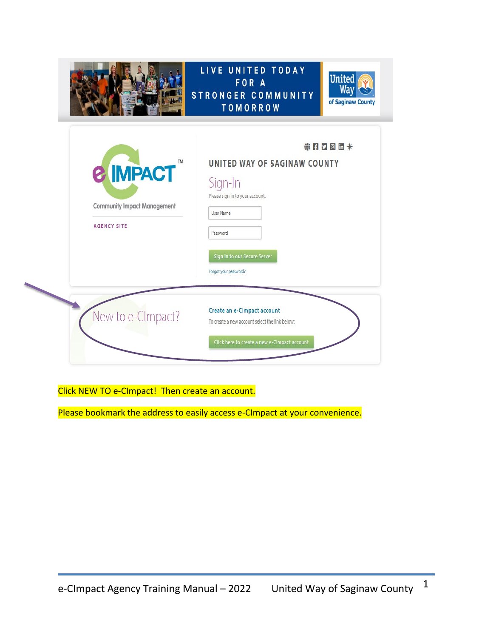|                                                                                              | LIVE UNITED TODAY<br><b>United</b><br>FOR A<br>Way<br><b>STRONGER COMMUNITY</b><br>of Saginaw County<br><b>TOMORROW</b>                                                       |
|----------------------------------------------------------------------------------------------|-------------------------------------------------------------------------------------------------------------------------------------------------------------------------------|
| <b>TM</b><br><b>&amp; IMPACT</b><br><b>Community Impact Management</b><br><b>AGENCY SITE</b> | $# H D C h *$<br>UNITED WAY OF SAGINAW COUNTY<br>Sign-In<br>Please sign in to your account.<br>User Name<br>Password<br>Sign in to our Secure Server<br>Forgot your password? |
| New to e-CImpact?                                                                            | Create an e-Cimpact account<br>To create a new account select the link below:<br>Click here to create a new e-CImpact account                                                 |

Click NEW TO e-CImpact! Then create an account.

Please bookmark the address to easily access e-CImpact at your convenience.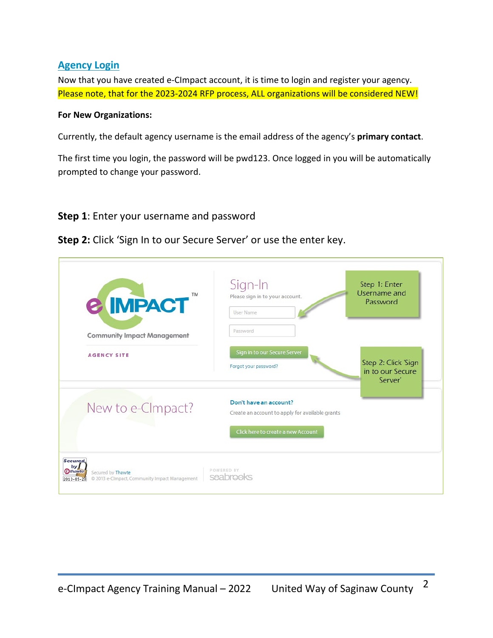#### **Agency Login**

Now that you have created e-CImpact account, it is time to login and register your agency. Please note, that for the 2023-2024 RFP process, ALL organizations will be considered NEW!

#### **For New Organizations:**

Currently, the default agency username is the email address of the agency's **primary contact**.

The first time you login, the password will be pwd123. Once logged in you will be automatically prompted to change your password.

#### **Step 1**: Enter your username and password

**Step 2:** Click 'Sign In to our Secure Server' or use the enter key.

| <b>TM</b><br><b>&amp; IMPACT</b>                                                                                             | Sign-In<br>Please sign in to your account.<br><b>User Name</b>            | Step 1: Enter<br>Username and<br>Password          |
|------------------------------------------------------------------------------------------------------------------------------|---------------------------------------------------------------------------|----------------------------------------------------|
| <b>Community Impact Management</b>                                                                                           | Password                                                                  |                                                    |
| <b>AGENCY SITE</b>                                                                                                           | Sign in to our Secure Server<br>Forgot your password?                     | Step 2: Click 'Sign<br>in to our Secure<br>Server' |
| New to e-CImpact?                                                                                                            | Don't have an account?<br>Create an account to apply for available grants |                                                    |
| <b>Secured</b><br>by  <br><b>Othawte</b><br>Secured by Thawte<br>@ 2013 e-CImpact, Community Impact Management<br>2013-05-28 | Click here to create a new Account<br>POWERED BY<br>seabrooks             |                                                    |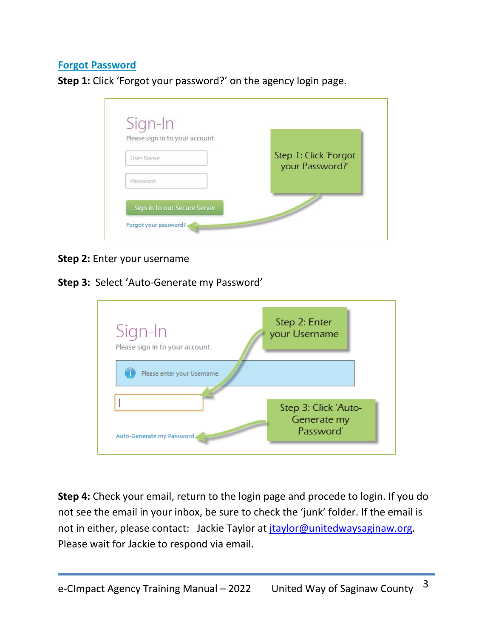#### **Forgot Password**

**Step 1:** Click 'Forgot your password?' on the agency login page.



#### **Step 2:** Enter your username

#### **Step 3:** Select 'Auto-Generate my Password'



**Step 4:** Check your email, return to the login page and procede to login. If you do not see the email in your inbox, be sure to check the 'junk' folder. If the email is not in either, please contact: Jackie Taylor at [jtaylor@unitedwaysaginaw.org.](mailto:jtaylor@unitedwaysaginaw.org) Please wait for Jackie to respond via email.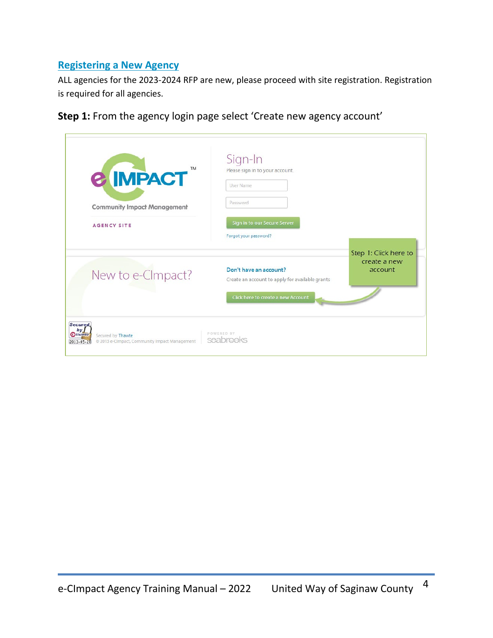#### **Registering a New Agency**

ALL agencies for the 2023-2024 RFP are new, please proceed with site registration. Registration is required for all agencies.

**Step 1:** From the agency login page select 'Create new agency account'

| Password<br><b>Community Impact Management</b><br>Sign in to our Secure Server<br><b>AGENCY SITE</b> |                                                                                                     |
|------------------------------------------------------------------------------------------------------|-----------------------------------------------------------------------------------------------------|
|                                                                                                      |                                                                                                     |
| Forgot your password?                                                                                |                                                                                                     |
| Don't have an account?<br>New to e-CImpact?                                                          | Step 1: Click here to<br>create a new<br>account<br>Create an account to apply for available grants |
|                                                                                                      | Click here to create a new Account                                                                  |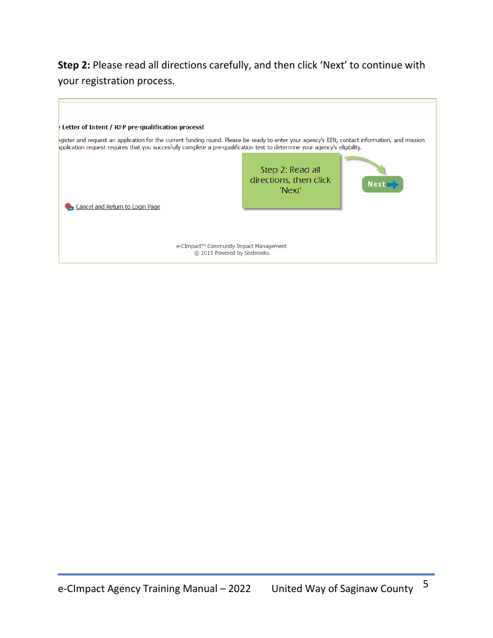**Step 2:** Please read all directions carefully, and then click 'Next' to continue with your registration process.

| : Letter of Intent / RFP pre-qualification process!                                                                                                                                                                                                                          |                                                      |             |
|------------------------------------------------------------------------------------------------------------------------------------------------------------------------------------------------------------------------------------------------------------------------------|------------------------------------------------------|-------------|
| egister and request an application for the current funding round. Please be ready to enter your agency's EIN, contact information, and mission<br>oplication request requires that you succesfully complete a pre-qualification test to determine your agency's eligibility. |                                                      |             |
| Cancel and Return to Login Page                                                                                                                                                                                                                                              | Step 2: Read all<br>directions, then click<br>'Next' | <b>Next</b> |
| e-CImpact™ Community Impact Management<br>© 2015 Powered by Seabrooks.                                                                                                                                                                                                       |                                                      |             |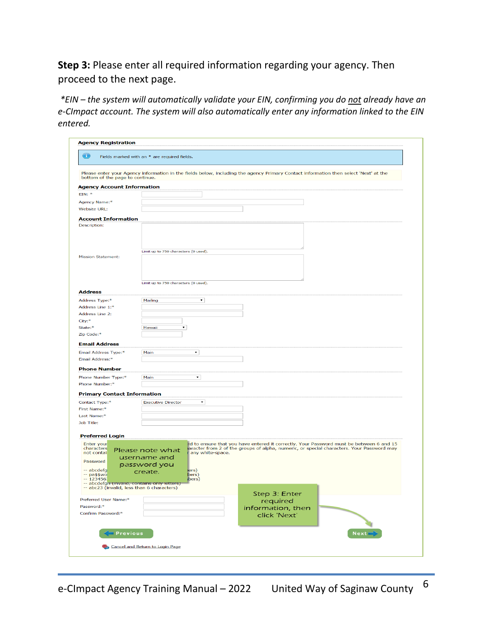**Step 3:** Please enter all required information regarding your agency. Then proceed to the next page.

 *\*EIN – the system will automatically validate your EIN, confirming you do not already have an e-CImpact account. The system will also automatically enter any information linked to the EIN entered.*

| $\bigcirc$                                   | Fields marked with an * are required fields.                                                                                                                                         |
|----------------------------------------------|--------------------------------------------------------------------------------------------------------------------------------------------------------------------------------------|
| bottom of the page to continue.              | Please enter your Agency information in the fields below, including the agency Primary Contact information then select 'Next' at the                                                 |
| <b>Agency Account Information</b>            |                                                                                                                                                                                      |
| $EIN:$ *                                     |                                                                                                                                                                                      |
| Agency Name:*                                |                                                                                                                                                                                      |
| Website URL:                                 |                                                                                                                                                                                      |
| <b>Account Information</b>                   |                                                                                                                                                                                      |
| Description:                                 |                                                                                                                                                                                      |
|                                              |                                                                                                                                                                                      |
|                                              |                                                                                                                                                                                      |
|                                              | Limit up to 750 characters (0 used).                                                                                                                                                 |
| <b>Mission Statement:</b>                    |                                                                                                                                                                                      |
|                                              |                                                                                                                                                                                      |
|                                              |                                                                                                                                                                                      |
|                                              |                                                                                                                                                                                      |
|                                              | Limit up to 750 characters (0 used).                                                                                                                                                 |
| <b>Address</b>                               |                                                                                                                                                                                      |
| Address Type:*                               | $\pmb{\mathrm{v}}$<br>Mailing                                                                                                                                                        |
| Address Line 1:*                             |                                                                                                                                                                                      |
| Address Line 2:                              |                                                                                                                                                                                      |
| City:*<br>State:*                            | Hawaii<br>$\pmb{\mathrm{v}}$                                                                                                                                                         |
| Zip Code:*                                   |                                                                                                                                                                                      |
|                                              |                                                                                                                                                                                      |
| <b>Email Address</b>                         |                                                                                                                                                                                      |
| Email Address Type:*                         | $\blacktriangledown$<br>Main                                                                                                                                                         |
| Email Address:*                              |                                                                                                                                                                                      |
| <b>Phone Number</b>                          |                                                                                                                                                                                      |
| Phone Number Type:*                          | $\blacktriangledown$<br>Main                                                                                                                                                         |
| Phone Number:*                               |                                                                                                                                                                                      |
| <b>Primary Contact Information</b>           |                                                                                                                                                                                      |
| Contact Type:*                               | <b>Executive Director</b><br>$\pmb{\mathsf{v}}$                                                                                                                                      |
| First Name:*                                 |                                                                                                                                                                                      |
| Last Name:*                                  |                                                                                                                                                                                      |
| Job Title:                                   |                                                                                                                                                                                      |
|                                              |                                                                                                                                                                                      |
| <b>Preferred Login</b>                       |                                                                                                                                                                                      |
| Enter your<br>characters                     | rd to ensure that you have entered it correctly. Your Password must be between 6 and 15<br>iaracter from 2 of the groups of alpha, numeric, or special characters. Your Password may |
| not contai                                   | Please note what<br>any white-space.                                                                                                                                                 |
| Password                                     | username and                                                                                                                                                                         |
| -- abcdefa                                   | password you<br>ers)<br>create.                                                                                                                                                      |
| -- pa\$\$wo<br>$-123456$                     | bers)<br>(bers)                                                                                                                                                                      |
| -- abcdefgh (invalid, contains only letters) |                                                                                                                                                                                      |
| -- abc23 (invalid, less than 6 characters)   | Step 3: Enter                                                                                                                                                                        |
| Preferred User Name:*                        | required                                                                                                                                                                             |
| Password:*                                   | information, then                                                                                                                                                                    |
| Confirm Password:*                           | click 'Next'                                                                                                                                                                         |
|                                              |                                                                                                                                                                                      |
|                                              |                                                                                                                                                                                      |
| <b>Previous</b>                              | $Next =$                                                                                                                                                                             |
|                                              |                                                                                                                                                                                      |
|                                              | Cancel and Return to Login Page                                                                                                                                                      |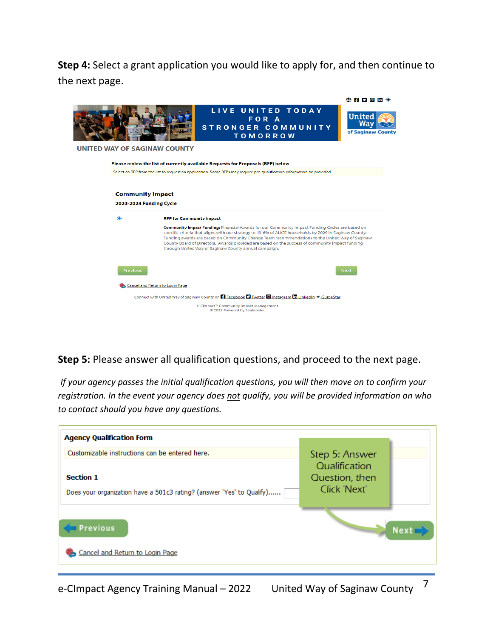**Step 4:** Select a grant application you would like to apply for, and then continue to the next page.

|                                                         |                                 |                                                                                                                                                                                                                                                                                                                                                                                                                                                                            | $\bigoplus$ if y o in $\mathbb{R}$ |
|---------------------------------------------------------|---------------------------------|----------------------------------------------------------------------------------------------------------------------------------------------------------------------------------------------------------------------------------------------------------------------------------------------------------------------------------------------------------------------------------------------------------------------------------------------------------------------------|------------------------------------|
| <b>UNITED WAY OF SAGINAW COUNTY</b>                     |                                 | LIVE UNITED TODAY<br>FOR A<br>STRONGER COMMUNITY<br><b>TOMORROW</b>                                                                                                                                                                                                                                                                                                                                                                                                        | <b>United</b><br>of Saginaw County |
|                                                         |                                 | Please review the list of currently available Requests for Proposals (RFP) below                                                                                                                                                                                                                                                                                                                                                                                           |                                    |
|                                                         |                                 | Select an RFP from the list to request an application. Some RFPs may require pre-qualification information be provided.                                                                                                                                                                                                                                                                                                                                                    | <b>Next</b>                        |
| <b>Community Impact</b><br>2023-2024 Funding Cycle<br>◉ | <b>RFP for Community Impact</b> |                                                                                                                                                                                                                                                                                                                                                                                                                                                                            |                                    |
|                                                         |                                 | Community Impact Funding: Financial Awards for our Community Impact Funding Cycles are based on<br>specific criteria that aligns with our strategy to lift 6% of ALICE households by 2029 in Saginaw County.<br>Funding awards are based on Community Change Team recommendations to the United Way of Saginaw<br>County Board of Directors. Awards provided are based on the success of community impact funding<br>through United Way of Saginaw County annual campaign. |                                    |
| <b>Previous</b>                                         |                                 |                                                                                                                                                                                                                                                                                                                                                                                                                                                                            |                                    |
|                                                         | Cancel and Return to Login Page |                                                                                                                                                                                                                                                                                                                                                                                                                                                                            |                                    |
|                                                         |                                 | Connect with United Way of Saginaw County on <b>F1</b> Facebook <b>D</b> Twitter <b>@</b> Instagram <b>In</b> LinkedIn * GuideStar                                                                                                                                                                                                                                                                                                                                         |                                    |
|                                                         |                                 | e-CImpact <sup>**</sup> Community Impact Management<br>@ 2022 Powered by Seabrooks.                                                                                                                                                                                                                                                                                                                                                                                        |                                    |

**Step 5:** Please answer all qualification questions, and proceed to the next page.

*If your agency passes the initial qualification questions, you will then move on to confirm your registration. In the event your agency does not qualify, you will be provided information on who to contact should you have any questions.* 



e-CImpact Agency Training Manual – 2022 United Way of Saginaw County  $\frac{7}{1}$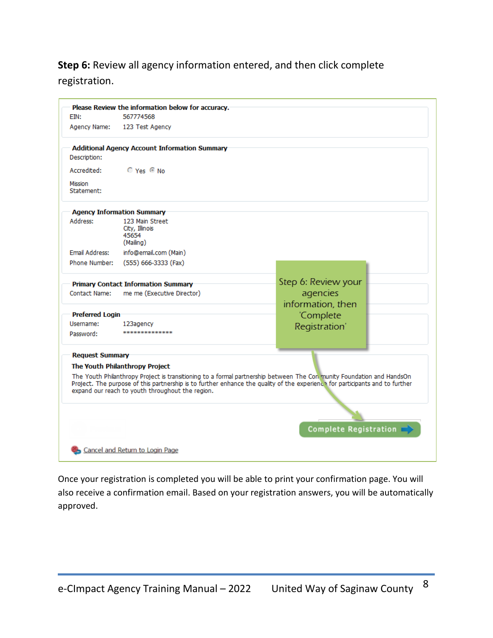#### **Step 6:** Review all agency information entered, and then click complete registration.

| EIN:                   | Please Review the information below for accuracy.<br>567774568                                                                                                                                                                                                                                            |                              |  |
|------------------------|-----------------------------------------------------------------------------------------------------------------------------------------------------------------------------------------------------------------------------------------------------------------------------------------------------------|------------------------------|--|
| Agency Name:           | 123 Test Agency                                                                                                                                                                                                                                                                                           |                              |  |
| Description:           | <b>Additional Agency Account Information Summary</b>                                                                                                                                                                                                                                                      |                              |  |
| Accredited:            | $O$ Yes $O$ No                                                                                                                                                                                                                                                                                            |                              |  |
| Mission<br>Statement:  |                                                                                                                                                                                                                                                                                                           |                              |  |
|                        | <b>Agency Information Summary</b>                                                                                                                                                                                                                                                                         |                              |  |
| Address:               | 123 Main Street<br>City, Illinois<br>45654<br>(Mailing)                                                                                                                                                                                                                                                   |                              |  |
| Email Address:         | info@email.com (Main)                                                                                                                                                                                                                                                                                     |                              |  |
| Phone Number:          | (555) 666-3333 (Fax)                                                                                                                                                                                                                                                                                      |                              |  |
|                        | <b>Primary Contact Information Summary</b>                                                                                                                                                                                                                                                                | Step 6: Review your          |  |
| Contact Name:          | me me (Executive Director)                                                                                                                                                                                                                                                                                | agencies                     |  |
|                        |                                                                                                                                                                                                                                                                                                           | information, then            |  |
| <b>Preferred Login</b> |                                                                                                                                                                                                                                                                                                           | 'Complete                    |  |
| Username:              | 123agency                                                                                                                                                                                                                                                                                                 | Registration'                |  |
| Password:              |                                                                                                                                                                                                                                                                                                           |                              |  |
| <b>Request Summary</b> |                                                                                                                                                                                                                                                                                                           |                              |  |
|                        | The Youth Philanthropy Project                                                                                                                                                                                                                                                                            |                              |  |
|                        | The Youth Philanthropy Project is transitioning to a formal partnership between The Con munity Foundation and HandsOn<br>Project. The purpose of this partnership is to further enhance the quality of the experience for participants and to further<br>expand our reach to youth throughout the region. |                              |  |
|                        |                                                                                                                                                                                                                                                                                                           |                              |  |
|                        |                                                                                                                                                                                                                                                                                                           | <b>Complete Registration</b> |  |
|                        |                                                                                                                                                                                                                                                                                                           |                              |  |
|                        | Cancel and Return to Login Page                                                                                                                                                                                                                                                                           |                              |  |

Once your registration is completed you will be able to print your confirmation page. You will also receive a confirmation email. Based on your registration answers, you will be automatically approved.